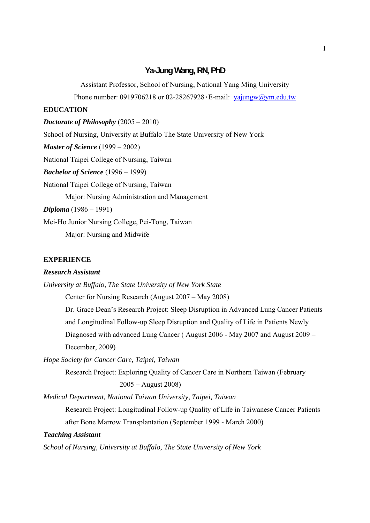## **Ya-Jung Wang, RN, PhD**

Assistant Professor, School of Nursing, National Yang Ming University

Phone number: 0919706218 or 02-28267928 · E-mail:  $\text{vajungw}(a)\text{ym.edu.tw}$ 

## **EDUCATION**

*Doctorate of Philosophy* (2005 – 2010)

School of Nursing, University at Buffalo The State University of New York

*Master of Science* (1999 – 2002)

National Taipei College of Nursing, Taiwan

*Bachelor of Science* (1996 – 1999)

National Taipei College of Nursing, Taiwan

Major: Nursing Administration and Management

*Diploma* (1986 – 1991)

Mei-Ho Junior Nursing College, Pei-Tong, Taiwan

Major: Nursing and Midwife

#### **EXPERIENCE**

#### *Research Assistant*

*University at Buffalo, The State University of New York State* 

Center for Nursing Research (August 2007 – May 2008)

Dr. Grace Dean's Research Project: Sleep Disruption in Advanced Lung Cancer Patients and Longitudinal Follow-up Sleep Disruption and Quality of Life in Patients Newly Diagnosed with advanced Lung Cancer ( August 2006 - May 2007 and August 2009 – December, 2009)

*Hope Society for Cancer Care, Taipei, Taiwan* 

Research Project: Exploring Quality of Cancer Care in Northern Taiwan (February 2005 – August 2008)

*Medical Department, National Taiwan University, Taipei, Taiwan* 

Research Project: Longitudinal Follow-up Quality of Life in Taiwanese Cancer Patients after Bone Marrow Transplantation (September 1999 - March 2000)

### *Teaching Assistant*

*School of Nursing, University at Buffalo, The State University of New York*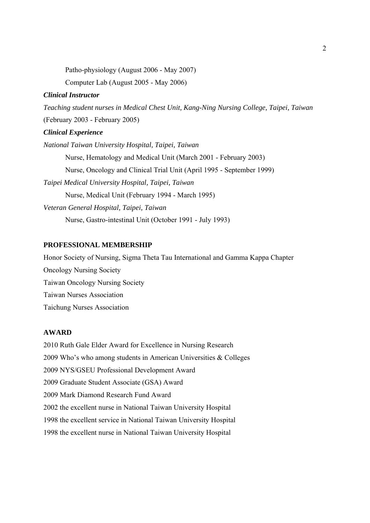Patho-physiology (August 2006 - May 2007) Computer Lab (August 2005 - May 2006)

### *Clinical Instructor*

*Teaching student nurses in Medical Chest Unit, Kang-Ning Nursing College, Taipei, Taiwan* (February 2003 - February 2005) *Clinical Experience National Taiwan University Hospital, Taipei, Taiwan* Nurse, Hematology and Medical Unit (March 2001 - February 2003) Nurse, Oncology and Clinical Trial Unit (April 1995 - September 1999) *Taipei Medical University Hospital, Taipei, Taiwan*  Nurse, Medical Unit (February 1994 - March 1995) *Veteran General Hospital, Taipei, Taiwan*  Nurse, Gastro-intestinal Unit (October 1991 - July 1993)

## **PROFESSIONAL MEMBERSHIP**

Honor Society of Nursing, Sigma Theta Tau International and Gamma Kappa Chapter Oncology Nursing Society Taiwan Oncology Nursing Society Taiwan Nurses Association Taichung Nurses Association

# **AWARD**

2010 Ruth Gale Elder Award for Excellence in Nursing Research 2009 Who's who among students in American Universities & Colleges 2009 NYS/GSEU Professional Development Award 2009 Graduate Student Associate (GSA) Award 2009 Mark Diamond Research Fund Award 2002 the excellent nurse in National Taiwan University Hospital 1998 the excellent service in National Taiwan University Hospital 1998 the excellent nurse in National Taiwan University Hospital